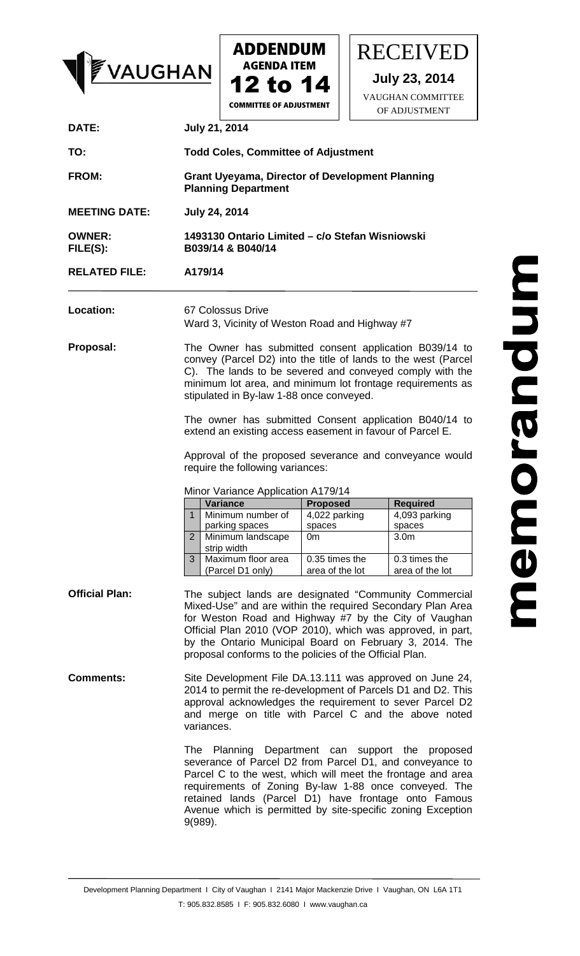



RECEIVED

**July 23, 2014** VAUGHAN COMMITTEE

**COMMITTEE OF ADJUSTMENT** 

|                           |                                                                                                                                                                                                                                                                                                                                                                           |                                                  |  | OF ADJUSTMENT                                                  |
|---------------------------|---------------------------------------------------------------------------------------------------------------------------------------------------------------------------------------------------------------------------------------------------------------------------------------------------------------------------------------------------------------------------|--------------------------------------------------|--|----------------------------------------------------------------|
| DATE:                     | <b>July 21, 2014</b>                                                                                                                                                                                                                                                                                                                                                      |                                                  |  |                                                                |
| TO:                       | <b>Todd Coles, Committee of Adjustment</b>                                                                                                                                                                                                                                                                                                                                |                                                  |  |                                                                |
| FROM:                     | <b>Grant Uyeyama, Director of Development Planning</b><br><b>Planning Department</b>                                                                                                                                                                                                                                                                                      |                                                  |  |                                                                |
| <b>MEETING DATE:</b>      | <b>July 24, 2014</b>                                                                                                                                                                                                                                                                                                                                                      |                                                  |  |                                                                |
| <b>OWNER:</b><br>FILE(S): | B039/14 & B040/14                                                                                                                                                                                                                                                                                                                                                         | 1493130 Ontario Limited - c/o Stefan Wisniowski  |  |                                                                |
| <b>RELATED FILE:</b>      | A179/14                                                                                                                                                                                                                                                                                                                                                                   |                                                  |  |                                                                |
| Location:                 | 67 Colossus Drive<br>Ward 3, Vicinity of Weston Road and Highway #7                                                                                                                                                                                                                                                                                                       |                                                  |  |                                                                |
| Proposal:                 | The Owner has submitted consent application B039/14 to<br>convey (Parcel D2) into the title of lands to the west (Parcel<br>C). The lands to be severed and conveyed comply with the<br>minimum lot area, and minimum lot frontage requirements as<br>stipulated in By-law 1-88 once conveyed.                                                                            |                                                  |  |                                                                |
|                           | The owner has submitted Consent application B040/14 to<br>extend an existing access easement in favour of Parcel E.                                                                                                                                                                                                                                                       |                                                  |  |                                                                |
|                           | Approval of the proposed severance and conveyance would<br>require the following variances:                                                                                                                                                                                                                                                                               |                                                  |  |                                                                |
|                           | Minor Variance Application A179/14                                                                                                                                                                                                                                                                                                                                        |                                                  |  |                                                                |
|                           | <b>Variance</b><br>Minimum number of<br>$\mathbf{1}$<br>parking spaces<br>$\overline{2}$<br>Minimum landscape                                                                                                                                                                                                                                                             | <b>Proposed</b><br>4,022 parking<br>spaces<br>0m |  | <b>Required</b><br>4,093 parking<br>spaces<br>3.0 <sub>m</sub> |
|                           | strip width<br>3<br>Maximum floor area                                                                                                                                                                                                                                                                                                                                    | 0.35 times the                                   |  | 0.3 times the                                                  |
|                           | (Parcel D1 only)                                                                                                                                                                                                                                                                                                                                                          | area of the lot                                  |  | area of the lot                                                |
| <b>Official Plan:</b>     | The subject lands are designated "Community Commercial<br>Mixed-Use" and are within the required Secondary Plan Area<br>for Weston Road and Highway #7 by the City of Vaughan<br>Official Plan 2010 (VOP 2010), which was approved, in part,<br>by the Ontario Municipal Board on February 3, 2014. The<br>proposal conforms to the policies of the Official Plan.        |                                                  |  |                                                                |
| <b>Comments:</b>          | Site Development File DA.13.111 was approved on June 24,<br>2014 to permit the re-development of Parcels D1 and D2. This<br>approval acknowledges the requirement to sever Parcel D2<br>and merge on title with Parcel C and the above noted<br>variances.                                                                                                                |                                                  |  |                                                                |
|                           | The Planning Department can support the<br>proposed<br>severance of Parcel D2 from Parcel D1, and conveyance to<br>Parcel C to the west, which will meet the frontage and area<br>requirements of Zoning By-law 1-88 once conveyed. The<br>retained lands (Parcel D1) have frontage onto Famous<br>Avenue which is permitted by site-specific zoning Exception<br>9(989). |                                                  |  |                                                                |